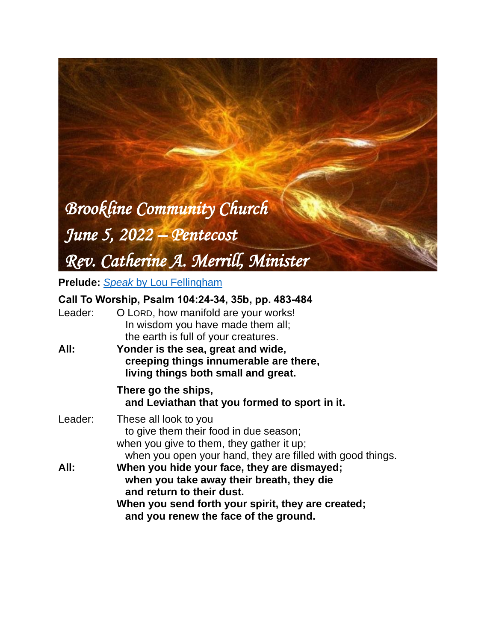# *Brookline Community Church June 5, 2022 – Pentecost*

*Rev. Catherine A. Merrill, Minister*

**Prelude:** *Speak* [by Lou Fellingham](https://www.youtube.com/watch?v=9kNcA1PjLF4)

# **Call To Worship, Psalm 104:24-34, 35b, pp. 483-484**

| Leader: | O LORD, how manifold are your works!<br>In wisdom you have made them all;<br>the earth is full of your creatures.                                                                                                    |
|---------|----------------------------------------------------------------------------------------------------------------------------------------------------------------------------------------------------------------------|
| All:    | Yonder is the sea, great and wide,<br>creeping things innumerable are there,<br>living things both small and great.                                                                                                  |
|         | There go the ships,<br>and Leviathan that you formed to sport in it.                                                                                                                                                 |
| Leader: | These all look to you<br>to give them their food in due season;<br>when you give to them, they gather it up;<br>when you open your hand, they are filled with good things.                                           |
| All:    | When you hide your face, they are dismayed;<br>when you take away their breath, they die<br>and return to their dust.<br>When you send forth your spirit, they are created;<br>and you renew the face of the ground. |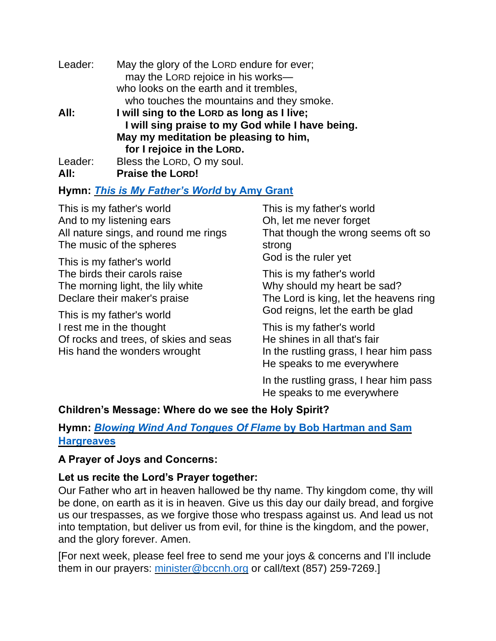| Leader: | May the glory of the LORD endure for ever;<br>may the LORD rejoice in his works- |  |
|---------|----------------------------------------------------------------------------------|--|
|         | who looks on the earth and it trembles,                                          |  |
|         | who touches the mountains and they smoke.                                        |  |
| All:    | I will sing to the LORD as long as I live;                                       |  |
|         | I will sing praise to my God while I have being.                                 |  |
|         | May my meditation be pleasing to him,                                            |  |
|         | for I rejoice in the LORD.                                                       |  |
| Leader: | Bless the LORD, O my soul.                                                       |  |
| All:    | <b>Praise the LORD!</b>                                                          |  |

## **Hymn:** *This is My [Father's](https://www.youtube.com/watch?v=N5rZx-iogyg) World* **by Amy Grant**

This is my father's world And to my listening ears All nature sings, and round me rings The music of the spheres

This is my father's world The birds their carols raise The morning light, the lily white Declare their maker's praise

This is my father's world I rest me in the thought Of rocks and trees, of skies and seas His hand the wonders wrought

This is my father's world Oh, let me never forget That though the wrong seems oft so strong God is the ruler yet

This is my father's world Why should my heart be sad? The Lord is king, let the heavens ring God reigns, let the earth be glad

This is my father's world He shines in all that's fair In the rustling grass, I hear him pass He speaks to me everywhere

In the rustling grass, I hear him pass He speaks to me everywhere

## **Children's Message: Where do we see the Holy Spirit?**

# **Hymn:** *Blowing Wind And [Tongues](https://www.youtube.com/watch?v=CBQyw_1Wc_A) Of Flame* **by Bob Hartman and Sam [Hargreaves](https://www.youtube.com/watch?v=CBQyw_1Wc_A)**

## **A Prayer of Joys and Concerns:**

## **Let us recite the Lord's Prayer together:**

Our Father who art in heaven hallowed be thy name. Thy kingdom come, thy will be done, on earth as it is in heaven. Give us this day our daily bread, and forgive us our trespasses, as we forgive those who trespass against us. And lead us not into temptation, but deliver us from evil, for thine is the kingdom, and the power, and the glory forever. Amen.

[For next week, please feel free to send me your joys & concerns and I'll include them in our prayers: [minister@bccnh.org](mailto:minister@bccnh.org) or call/text (857) 259-7269.]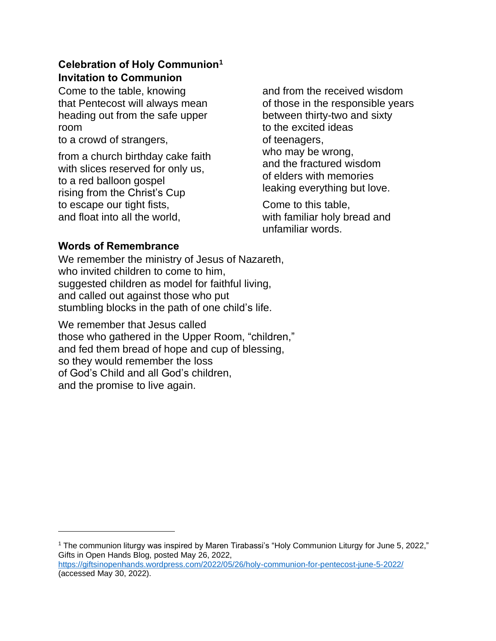# **Celebration of Holy Communion<sup>1</sup> Invitation to Communion**

Come to the table, knowing that Pentecost will always mean heading out from the safe upper room

to a crowd of strangers,

from a church birthday cake faith with slices reserved for only us, to a red balloon gospel rising from the Christ's Cup to escape our tight fists, and float into all the world,

and from the received wisdom of those in the responsible years between thirty-two and sixty to the excited ideas of teenagers, who may be wrong, and the fractured wisdom of elders with memories leaking everything but love.

Come to this table, with familiar holy bread and unfamiliar words.

# **Words of Remembrance**

We remember the ministry of Jesus of Nazareth, who invited children to come to him, suggested children as model for faithful living, and called out against those who put stumbling blocks in the path of one child's life.

We remember that Jesus called those who gathered in the Upper Room, "children," and fed them bread of hope and cup of blessing, so they would remember the loss of God's Child and all God's children, and the promise to live again.

<sup>1</sup> The communion liturgy was inspired by Maren Tirabassi's "Holy Communion Liturgy for June 5, 2022," Gifts in Open Hands Blog, posted May 26, 2022, <https://giftsinopenhands.wordpress.com/2022/05/26/holy-communion-for-pentecost-june-5-2022/> (accessed May 30, 2022).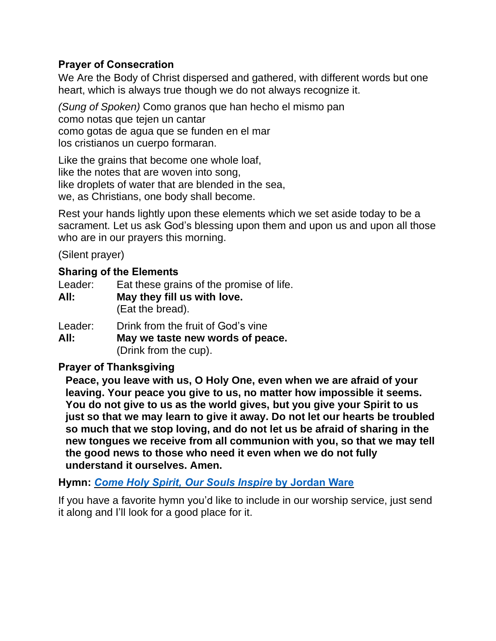# **Prayer of Consecration**

We Are the Body of Christ dispersed and gathered, with different words but one heart, which is always true though we do not always recognize it.

*(Sung of Spoken)* Como granos que han hecho el mismo pan como notas que tejen un cantar como gotas de agua que se funden en el mar los cristianos un cuerpo formaran.

Like the grains that become one whole loaf, like the notes that are woven into song, like droplets of water that are blended in the sea, we, as Christians, one body shall become.

Rest your hands lightly upon these elements which we set aside today to be a sacrament. Let us ask God's blessing upon them and upon us and upon all those who are in our prayers this morning.

(Silent prayer)

## **Sharing of the Elements**

| Leader: | Eat these grains of the promise of life. |  |
|---------|------------------------------------------|--|
| All:    | May they fill us with love.              |  |
|         | (Eat the bread).                         |  |
| Leader: | Drink from the fruit of God's vine       |  |

**All: May we taste new words of peace.** (Drink from the cup).

## **Prayer of Thanksgiving**

**Peace, you leave with us, O Holy One, even when we are afraid of your leaving. Your peace you give to us, no matter how impossible it seems. You do not give to us as the world gives, but you give your Spirit to us just so that we may learn to give it away. Do not let our hearts be troubled so much that we stop loving, and do not let us be afraid of sharing in the new tongues we receive from all communion with you, so that we may tell the good news to those who need it even when we do not fully understand it ourselves. Amen.**

**Hymn:** *Come Holy Spirit, Our Souls Inspire* **by [Jordan](https://www.youtube.com/watch?v=vmJ24aB3XVA) Ware**

If you have a favorite hymn you'd like to include in our worship service, just send it along and I'll look for a good place for it.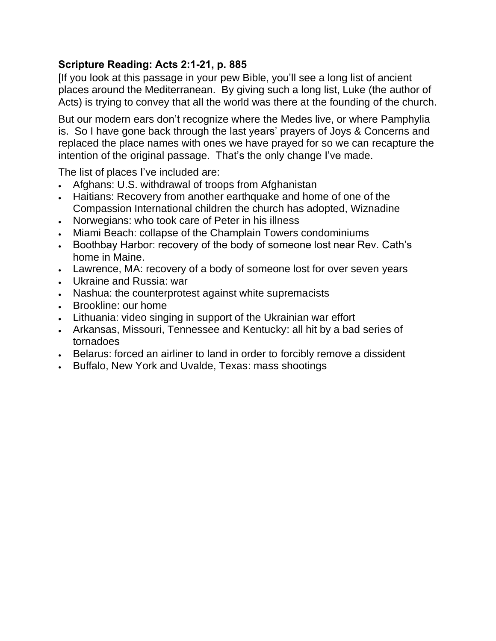# **Scripture Reading: Acts 2:1-21, p. 885**

[If you look at this passage in your pew Bible, you'll see a long list of ancient places around the Mediterranean. By giving such a long list, Luke (the author of Acts) is trying to convey that all the world was there at the founding of the church.

But our modern ears don't recognize where the Medes live, or where Pamphylia is. So I have gone back through the last years' prayers of Joys & Concerns and replaced the place names with ones we have prayed for so we can recapture the intention of the original passage. That's the only change I've made.

The list of places I've included are:

- Afghans: U.S. withdrawal of troops from Afghanistan
- Haitians: Recovery from another earthquake and home of one of the Compassion International children the church has adopted, Wiznadine
- Norwegians: who took care of Peter in his illness
- Miami Beach: collapse of the Champlain Towers condominiums
- Boothbay Harbor: recovery of the body of someone lost near Rev. Cath's home in Maine.
- Lawrence, MA: recovery of a body of someone lost for over seven years
- Ukraine and Russia: war
- Nashua: the counterprotest against white supremacists
- Brookline: our home
- Lithuania: video singing in support of the Ukrainian war effort
- Arkansas, Missouri, Tennessee and Kentucky: all hit by a bad series of tornadoes
- Belarus: forced an airliner to land in order to forcibly remove a dissident
- Buffalo, New York and Uvalde, Texas: mass shootings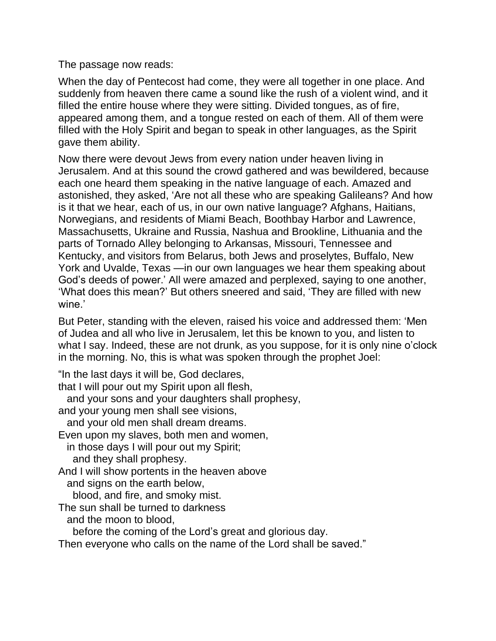The passage now reads:

When the day of Pentecost had come, they were all together in one place. And suddenly from heaven there came a sound like the rush of a violent wind, and it filled the entire house where they were sitting. Divided tongues, as of fire, appeared among them, and a tongue rested on each of them. All of them were filled with the Holy Spirit and began to speak in other languages, as the Spirit gave them ability.

Now there were devout Jews from every nation under heaven living in Jerusalem. And at this sound the crowd gathered and was bewildered, because each one heard them speaking in the native language of each. Amazed and astonished, they asked, 'Are not all these who are speaking Galileans? And how is it that we hear, each of us, in our own native language? Afghans, Haitians, Norwegians, and residents of Miami Beach, Boothbay Harbor and Lawrence, Massachusetts, Ukraine and Russia, Nashua and Brookline, Lithuania and the parts of Tornado Alley belonging to Arkansas, Missouri, Tennessee and Kentucky, and visitors from Belarus, both Jews and proselytes, Buffalo, New York and Uvalde, Texas —in our own languages we hear them speaking about God's deeds of power.' All were amazed and perplexed, saying to one another, 'What does this mean?' But others sneered and said, 'They are filled with new wine.'

But Peter, standing with the eleven, raised his voice and addressed them: 'Men of Judea and all who live in Jerusalem, let this be known to you, and listen to what I say. Indeed, these are not drunk, as you suppose, for it is only nine o'clock in the morning. No, this is what was spoken through the prophet Joel:

"In the last days it will be, God declares,

that I will pour out my Spirit upon all flesh,

and your sons and your daughters shall prophesy,

and your young men shall see visions,

and your old men shall dream dreams.

Even upon my slaves, both men and women,

 in those days I will pour out my Spirit; and they shall prophesy.

And I will show portents in the heaven above and signs on the earth below,

blood, and fire, and smoky mist.

The sun shall be turned to darkness

and the moon to blood,

before the coming of the Lord's great and glorious day.

Then everyone who calls on the name of the Lord shall be saved."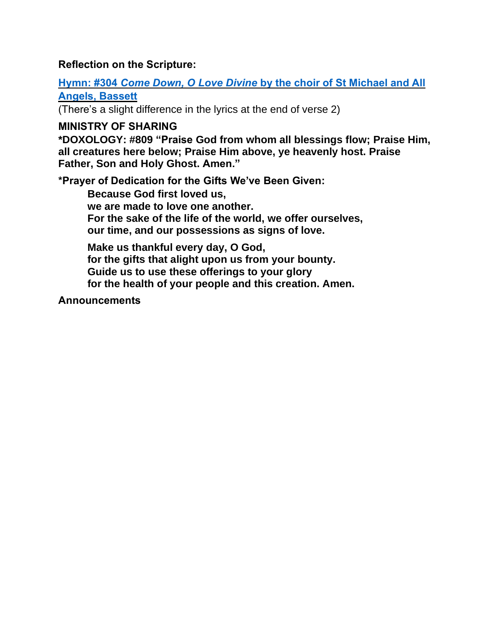## **Reflection on the Scripture:**

**Hymn: #304** *Come Down, O Love Divine* **by the choir of St [Michael](https://www.youtube.com/watch?v=YGOcWquihs0) and All [Angels,](https://www.youtube.com/watch?v=YGOcWquihs0) Bassett**

(There's a slight difference in the lyrics at the end of verse 2)

## **MINISTRY OF SHARING**

**\*DOXOLOGY: #809 "Praise God from whom all blessings flow; Praise Him, all creatures here below; Praise Him above, ye heavenly host. Praise Father, Son and Holy Ghost. Amen."**

**\*Prayer of Dedication for the Gifts We've Been Given:**

**Because God first loved us, we are made to love one another. For the sake of the life of the world, we offer ourselves, our time, and our possessions as signs of love.**

**Make us thankful every day, O God, for the gifts that alight upon us from your bounty. Guide us to use these offerings to your glory for the health of your people and this creation. Amen.**

**Announcements**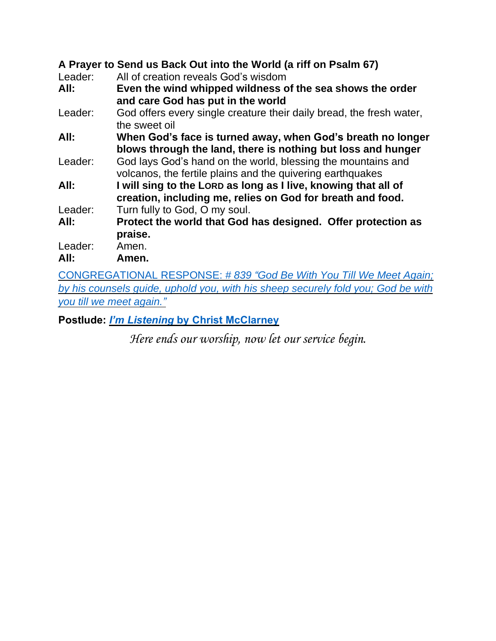# **A Prayer to Send us Back Out into the World (a riff on Psalm 67)**

Leader: All of creation reveals God's wisdom

**All: Even the wind whipped wildness of the sea shows the order and care God has put in the world**

- Leader: God offers every single creature their daily bread, the fresh water, the sweet oil
- **All: When God's face is turned away, when God's breath no longer blows through the land, there is nothing but loss and hunger**
- Leader: God lays God's hand on the world, blessing the mountains and volcanos, the fertile plains and the quivering earthquakes
- **All: I will sing to the LORD as long as I live, knowing that all of creation, including me, relies on God for breath and food.** Leader: Turn fully to God, O my soul.
- **All: Protect the world that God has designed. Offer protection as praise.**

Leader: Amen.

**All: Amen.**

[CONGREGATIONAL](https://www.youtube.com/watch?v=dQTRoTkkz3g) RESPONSE: *# 839 "God Be With You Till We Meet Again; by his [counsels](https://www.youtube.com/watch?v=dQTRoTkkz3g) guide, uphold you, with his sheep securely fold you; God be with you till we meet [again.](https://www.youtube.com/watch?v=dQTRoTkkz3g)"*

**Postlude:** *I'm Listening* **by Christ [McClarney](https://www.youtube.com/watch?v=Ef52AmdVwYI)**

*Here ends our worship, now let our service begin.*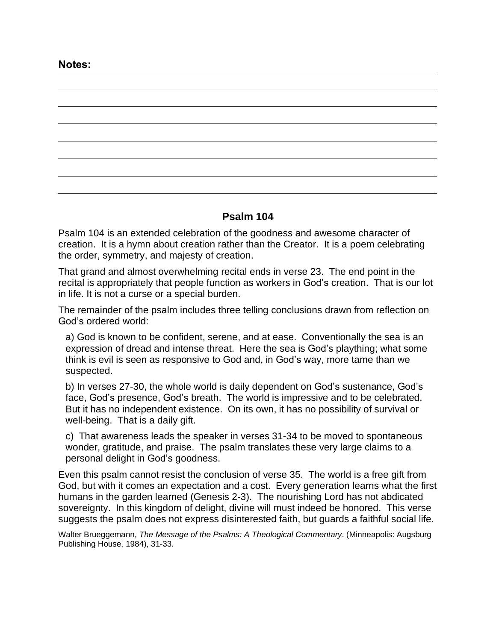**Notes:**

#### **Psalm 104**

Psalm 104 is an extended celebration of the goodness and awesome character of creation. It is a hymn about creation rather than the Creator. It is a poem celebrating the order, symmetry, and majesty of creation.

That grand and almost overwhelming recital ends in verse 23. The end point in the recital is appropriately that people function as workers in God's creation. That is our lot in life. It is not a curse or a special burden.

The remainder of the psalm includes three telling conclusions drawn from reflection on God's ordered world:

a) God is known to be confident, serene, and at ease. Conventionally the sea is an expression of dread and intense threat. Here the sea is God's plaything; what some think is evil is seen as responsive to God and, in God's way, more tame than we suspected.

b) In verses 27-30, the whole world is daily dependent on God's sustenance, God's face, God's presence, God's breath. The world is impressive and to be celebrated. But it has no independent existence. On its own, it has no possibility of survival or well-being. That is a daily gift.

c) That awareness leads the speaker in verses 31-34 to be moved to spontaneous wonder, gratitude, and praise. The psalm translates these very large claims to a personal delight in God's goodness.

Even this psalm cannot resist the conclusion of verse 35. The world is a free gift from God, but with it comes an expectation and a cost. Every generation learns what the first humans in the garden learned (Genesis 2-3). The nourishing Lord has not abdicated sovereignty. In this kingdom of delight, divine will must indeed be honored. This verse suggests the psalm does not express disinterested faith, but guards a faithful social life.

Walter Brueggemann, *The Message of the Psalms: A Theological Commentary*. (Minneapolis: Augsburg Publishing House, 1984), 31-33.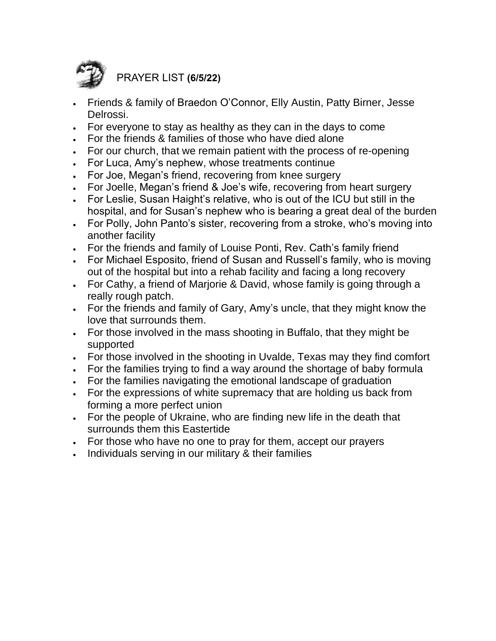

PRAYER LIST **(6/5/22)**

- Friends & family of Braedon O'Connor, Elly Austin, Patty Birner, Jesse Delrossi.
- For everyone to stay as healthy as they can in the days to come
- For the friends & families of those who have died alone
- For our church, that we remain patient with the process of re-opening
- For Luca, Amy's nephew, whose treatments continue
- For Joe, Megan's friend, recovering from knee surgery
- For Joelle, Megan's friend & Joe's wife, recovering from heart surgery
- For Leslie, Susan Haight's relative, who is out of the ICU but still in the hospital, and for Susan's nephew who is bearing a great deal of the burden
- For Polly, John Panto's sister, recovering from a stroke, who's moving into another facility
- For the friends and family of Louise Ponti, Rev. Cath's family friend
- For Michael Esposito, friend of Susan and Russell's family, who is moving out of the hospital but into a rehab facility and facing a long recovery
- For Cathy, a friend of Marjorie & David, whose family is going through a really rough patch.
- For the friends and family of Gary, Amy's uncle, that they might know the love that surrounds them.
- For those involved in the mass shooting in Buffalo, that they might be supported
- For those involved in the shooting in Uvalde, Texas may they find comfort
- For the families trying to find a way around the shortage of baby formula
- For the families navigating the emotional landscape of graduation
- For the expressions of white supremacy that are holding us back from forming a more perfect union
- For the people of Ukraine, who are finding new life in the death that surrounds them this Eastertide
- For those who have no one to pray for them, accept our prayers
- Individuals serving in our military & their families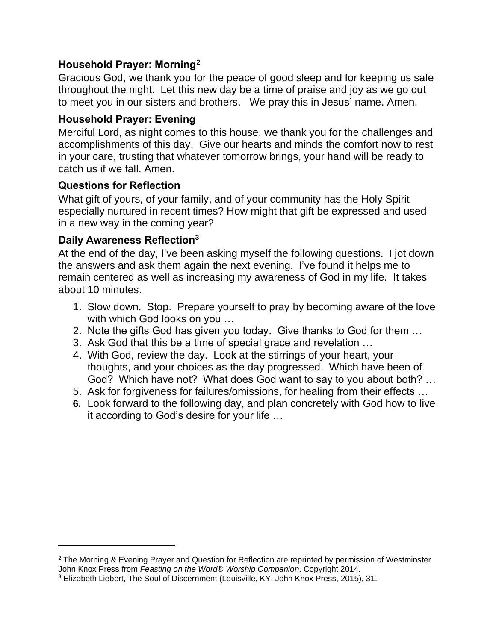# **Household Prayer: Morning<sup>2</sup>**

Gracious God, we thank you for the peace of good sleep and for keeping us safe throughout the night. Let this new day be a time of praise and joy as we go out to meet you in our sisters and brothers. We pray this in Jesus' name. Amen.

# **Household Prayer: Evening**

Merciful Lord, as night comes to this house, we thank you for the challenges and accomplishments of this day. Give our hearts and minds the comfort now to rest in your care, trusting that whatever tomorrow brings, your hand will be ready to catch us if we fall. Amen.

# **Questions for Reflection**

What gift of yours, of your family, and of your community has the Holy Spirit especially nurtured in recent times? How might that gift be expressed and used in a new way in the coming year?

# **Daily Awareness Reflection<sup>3</sup>**

At the end of the day, I've been asking myself the following questions. I jot down the answers and ask them again the next evening. I've found it helps me to remain centered as well as increasing my awareness of God in my life. It takes about 10 minutes.

- 1. Slow down. Stop. Prepare yourself to pray by becoming aware of the love with which God looks on you …
- 2. Note the gifts God has given you today. Give thanks to God for them …
- 3. Ask God that this be a time of special grace and revelation …
- 4. With God, review the day. Look at the stirrings of your heart, your thoughts, and your choices as the day progressed. Which have been of God? Which have not? What does God want to say to you about both? …
- 5. Ask for forgiveness for failures/omissions, for healing from their effects …
- **6.** Look forward to the following day, and plan concretely with God how to live it according to God's desire for your life …

<sup>2</sup> The Morning & Evening Prayer and Question for Reflection are reprinted by permission of Westminster John Knox Press from *Feasting on the Word*® *Worship Companion*. Copyright 2014.

<sup>3</sup> Elizabeth Liebert, The Soul of Discernment (Louisville, KY: John Knox Press, 2015), 31.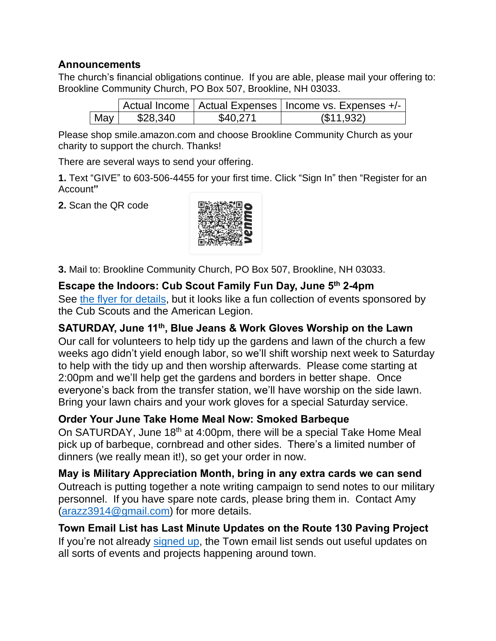# **Announcements**

The church's financial obligations continue. If you are able, please mail your offering to: Brookline Community Church, PO Box 507, Brookline, NH 03033.

|     |          |          | Actual Income   Actual Expenses   Income vs. Expenses +/- |
|-----|----------|----------|-----------------------------------------------------------|
| May | \$28,340 | \$40,271 | (S11.932)                                                 |

Please shop smile.amazon.com and choose Brookline Community Church as your charity to support the church. Thanks!

There are several ways to send your offering.

**1.** Text "GIVE" to 603-506-4455 for your first time. Click "Sign In" then "Register for an Account**"**

**2.** Scan the QR code



**3.** Mail to: Brookline Community Church, PO Box 507, Brookline, NH 03033.

## **Escape the Indoors: Cub Scout Family Fun Day, June 5 th 2-4pm**

See the flyer for [details,](https://www.brooklinenh.us/home/news/brookline-cub-scout-event-sunday-june-5th-from-2-4pm) but it looks like a fun collection of events sponsored by the Cub Scouts and the American Legion.

# **SATURDAY, June 11th , Blue Jeans & Work Gloves Worship on the Lawn**

Our call for volunteers to help tidy up the gardens and lawn of the church a few weeks ago didn't yield enough labor, so we'll shift worship next week to Saturday to help with the tidy up and then worship afterwards. Please come starting at 2:00pm and we'll help get the gardens and borders in better shape. Once everyone's back from the transfer station, we'll have worship on the side lawn. Bring your lawn chairs and your work gloves for a special Saturday service.

# **Order Your June Take Home Meal Now: Smoked Barbeque**

On SATURDAY, June 18<sup>th</sup> at 4:00pm, there will be a special Take Home Meal pick up of barbeque, cornbread and other sides. There's a limited number of dinners (we really mean it!), so get your order in now.

**May is Military Appreciation Month, bring in any extra cards we can send** Outreach is putting together a note writing campaign to send notes to our military personnel. If you have spare note cards, please bring them in. Contact Amy [\(arazz3914@gmail.com\)](mailto:arazz3914@gmail.com) for more details.

**Town Email List has Last Minute Updates on the Route 130 Paving Project** If you're not already [signed](https://www.brooklinenh.us/subscribe) up, the Town email list sends out useful updates on all sorts of events and projects happening around town.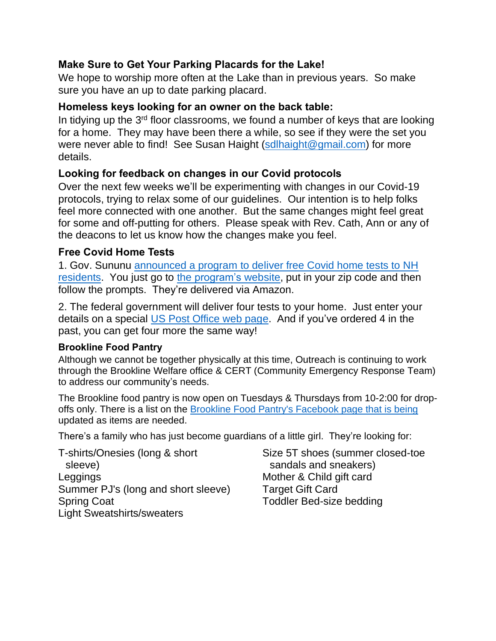# **Make Sure to Get Your Parking Placards for the Lake!**

We hope to worship more often at the Lake than in previous years. So make sure you have an up to date parking placard.

# **Homeless keys looking for an owner on the back table:**

In tidying up the 3<sup>rd</sup> floor classrooms, we found a number of keys that are looking for a home. They may have been there a while, so see if they were the set you were never able to find! See Susan Haight [\(sdlhaight@gmail.com\)](mailto:sdlhaight@gmail.com) for more details.

## **Looking for feedback on changes in our Covid protocols**

Over the next few weeks we'll be experimenting with changes in our Covid-19 protocols, trying to relax some of our guidelines. Our intention is to help folks feel more connected with one another. But the same changes might feel great for some and off-putting for others. Please speak with Rev. Cath, Ann or any of the deacons to let us know how the changes make you feel.

## **Free Covid Home Tests**

1. Gov. Sununu [announced](https://www.governor.nh.gov/news-and-media/free-home-rapid-covid-19-tests-now-available-new-hampshire-residents) a program to deliver free Covid home tests to NH [residents.](https://www.governor.nh.gov/news-and-media/free-home-rapid-covid-19-tests-now-available-new-hampshire-residents) You just go to the [program's](https://sayyescovidhometest.org/) website, put in your zip code and then follow the prompts. They're delivered via Amazon.

2. The federal government will deliver four tests to your home. Just enter your details on a special US Post [Office](https://special.usps.com/testkits) web page. And if you've ordered 4 in the past, you can get four more the same way!

## **Brookline Food Pantry**

Although we cannot be together physically at this time, Outreach is continuing to work through the Brookline Welfare office & CERT (Community Emergency Response Team) to address our community's needs.

The Brookline food pantry is now open on Tuesdays & Thursdays from 10-2:00 for drop-offs only. There is a list on the Brookline Food Pantry's [Facebook](https://www.facebook.com/BrooklineFP/) page that is being updated as items are needed.

There's a family who has just become guardians of a little girl. They're looking for:

T-shirts/Onesies (long & short sleeve) Leggings Summer PJ's (long and short sleeve) Spring Coat Light Sweatshirts/sweaters

Size 5T shoes (summer closed-toe sandals and sneakers) Mother & Child gift card Target Gift Card Toddler Bed-size bedding